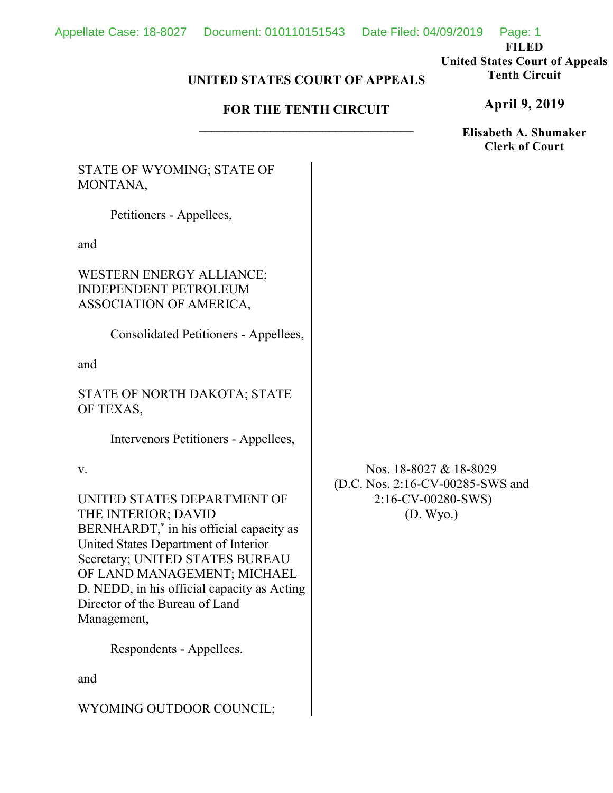**FILED** 

#### **United States Court of Appeals Tenth Circuit**

# **UNITED STATES COURT OF APPEALS**

# **FOR THE TENTH CIRCUIT**

**April 9, 2019**

**Elisabeth A. Shumaker Clerk of Court**

STATE OF WYOMING; STATE OF MONTANA,

Petitioners - Appellees,

and

WESTERN ENERGY ALLIANCE; INDEPENDENT PETROLEUM ASSOCIATION OF AMERICA,

Consolidated Petitioners - Appellees,

and

STATE OF NORTH DAKOTA; STATE OF TEXAS,

Intervenors Petitioners - Appellees,

v.

UNITED STATES DEPARTMENT OF THE INTERIOR; DAVID BERNHARDT,\* in his official capacity as United States Department of Interior Secretary; UNITED STATES BUREAU OF LAND MANAGEMENT; MICHAEL D. NEDD, in his official capacity as Acting Director of the Bureau of Land Management,

Respondents - Appellees.

and

WYOMING OUTDOOR COUNCIL;

Nos. 18-8027 & 18-8029 (D.C. Nos. 2:16-CV-00285-SWS and 2:16-CV-00280-SWS) (D. Wyo.)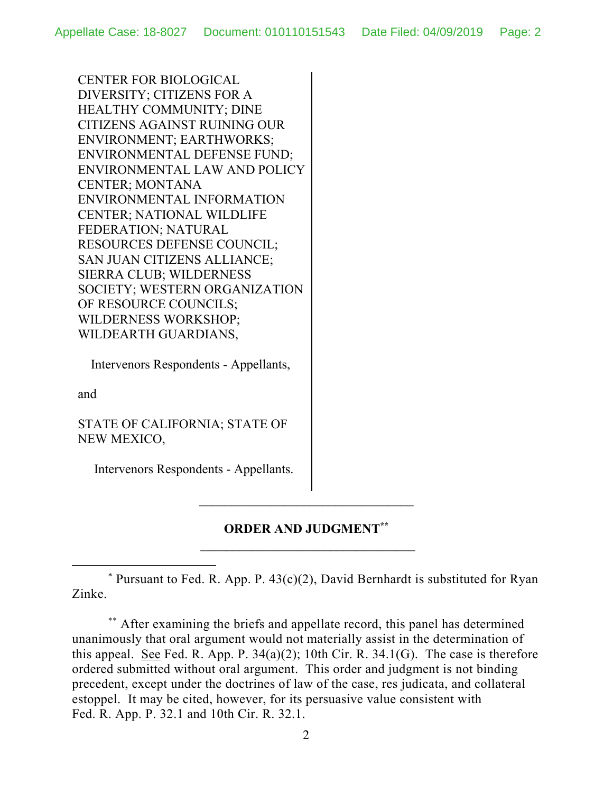CENTER FOR BIOLOGICAL DIVERSITY; CITIZENS FOR A HEALTHY COMMUNITY; DINE CITIZENS AGAINST RUINING OUR ENVIRONMENT; EARTHWORKS; ENVIRONMENTAL DEFENSE FUND; ENVIRONMENTAL LAW AND POLICY CENTER; MONTANA ENVIRONMENTAL INFORMATION CENTER; NATIONAL WILDLIFE FEDERATION; NATURAL RESOURCES DEFENSE COUNCIL; SAN JUAN CITIZENS ALLIANCE; SIERRA CLUB; WILDERNESS SOCIETY; WESTERN ORGANIZATION OF RESOURCE COUNCILS; WILDERNESS WORKSHOP; WILDEARTH GUARDIANS,

Intervenors Respondents - Appellants,

and

STATE OF CALIFORNIA; STATE OF NEW MEXICO,

Intervenors Respondents - Appellants.

# **ORDER AND JUDGMENT\*\***

\_\_\_\_\_\_\_\_\_\_\_\_\_\_\_\_\_\_\_\_\_\_\_\_\_\_\_\_\_\_\_\_\_

\* Pursuant to Fed. R. App. P.  $43(c)(2)$ , David Bernhardt is substituted for Ryan Zinke.

\*\* After examining the briefs and appellate record, this panel has determined unanimously that oral argument would not materially assist in the determination of this appeal. See Fed. R. App. P.  $34(a)(2)$ ; 10th Cir. R.  $34.1(G)$ . The case is therefore ordered submitted without oral argument. This order and judgment is not binding precedent, except under the doctrines of law of the case, res judicata, and collateral estoppel. It may be cited, however, for its persuasive value consistent with Fed. R. App. P. 32.1 and 10th Cir. R. 32.1.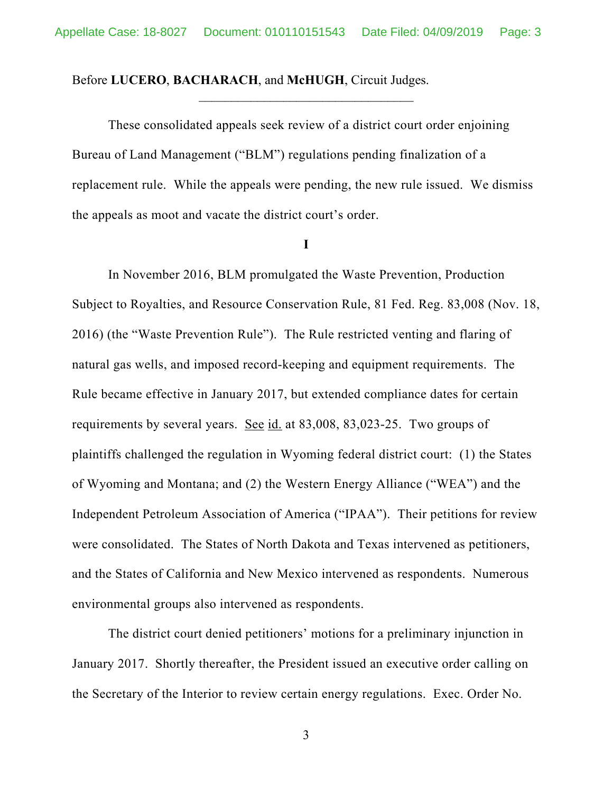#### Before **LUCERO**, **BACHARACH**, and **McHUGH**, Circuit Judges.

These consolidated appeals seek review of a district court order enjoining Bureau of Land Management ("BLM") regulations pending finalization of a replacement rule. While the appeals were pending, the new rule issued. We dismiss the appeals as moot and vacate the district court's order.

#### **I**

In November 2016, BLM promulgated the Waste Prevention, Production Subject to Royalties, and Resource Conservation Rule, 81 Fed. Reg. 83,008 (Nov. 18, 2016) (the "Waste Prevention Rule"). The Rule restricted venting and flaring of natural gas wells, and imposed record-keeping and equipment requirements. The Rule became effective in January 2017, but extended compliance dates for certain requirements by several years. See id. at 83,008, 83,023-25. Two groups of plaintiffs challenged the regulation in Wyoming federal district court: (1) the States of Wyoming and Montana; and (2) the Western Energy Alliance ("WEA") and the Independent Petroleum Association of America ("IPAA"). Their petitions for review were consolidated. The States of North Dakota and Texas intervened as petitioners, and the States of California and New Mexico intervened as respondents. Numerous environmental groups also intervened as respondents.

The district court denied petitioners' motions for a preliminary injunction in January 2017. Shortly thereafter, the President issued an executive order calling on the Secretary of the Interior to review certain energy regulations. Exec. Order No.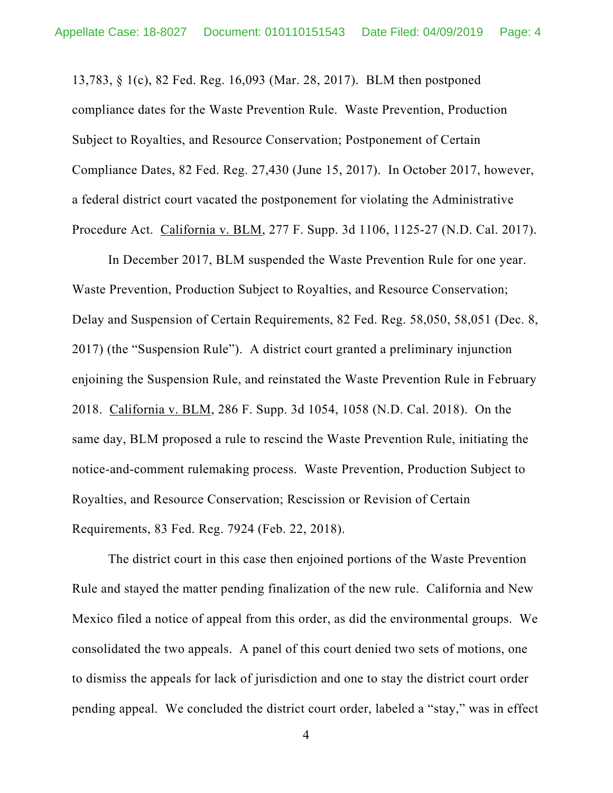13,783, § 1(c), 82 Fed. Reg. 16,093 (Mar. 28, 2017). BLM then postponed compliance dates for the Waste Prevention Rule. Waste Prevention, Production Subject to Royalties, and Resource Conservation; Postponement of Certain Compliance Dates, 82 Fed. Reg. 27,430 (June 15, 2017). In October 2017, however, a federal district court vacated the postponement for violating the Administrative Procedure Act. California v. BLM, 277 F. Supp. 3d 1106, 1125-27 (N.D. Cal. 2017).

In December 2017, BLM suspended the Waste Prevention Rule for one year. Waste Prevention, Production Subject to Royalties, and Resource Conservation; Delay and Suspension of Certain Requirements, 82 Fed. Reg. 58,050, 58,051 (Dec. 8, 2017) (the "Suspension Rule"). A district court granted a preliminary injunction enjoining the Suspension Rule, and reinstated the Waste Prevention Rule in February 2018. California v. BLM, 286 F. Supp. 3d 1054, 1058 (N.D. Cal. 2018). On the same day, BLM proposed a rule to rescind the Waste Prevention Rule, initiating the notice-and-comment rulemaking process. Waste Prevention, Production Subject to Royalties, and Resource Conservation; Rescission or Revision of Certain Requirements, 83 Fed. Reg. 7924 (Feb. 22, 2018).

The district court in this case then enjoined portions of the Waste Prevention Rule and stayed the matter pending finalization of the new rule. California and New Mexico filed a notice of appeal from this order, as did the environmental groups. We consolidated the two appeals. A panel of this court denied two sets of motions, one to dismiss the appeals for lack of jurisdiction and one to stay the district court order pending appeal. We concluded the district court order, labeled a "stay," was in effect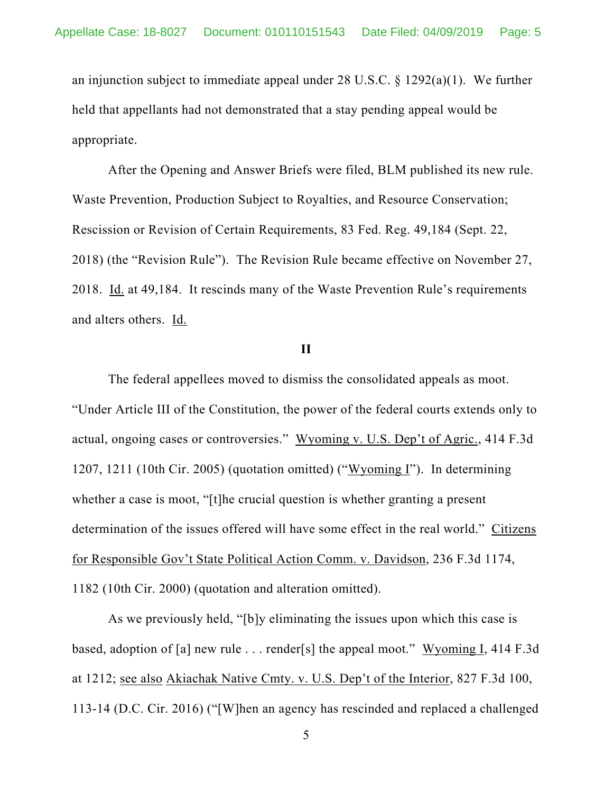an injunction subject to immediate appeal under 28 U.S.C. § 1292(a)(1). We further held that appellants had not demonstrated that a stay pending appeal would be appropriate.

After the Opening and Answer Briefs were filed, BLM published its new rule. Waste Prevention, Production Subject to Royalties, and Resource Conservation; Rescission or Revision of Certain Requirements, 83 Fed. Reg. 49,184 (Sept. 22, 2018) (the "Revision Rule"). The Revision Rule became effective on November 27, 2018. Id. at 49,184. It rescinds many of the Waste Prevention Rule's requirements and alters others. Id.

### **II**

The federal appellees moved to dismiss the consolidated appeals as moot. "Under Article III of the Constitution, the power of the federal courts extends only to actual, ongoing cases or controversies." Wyoming v. U.S. Dep't of Agric., 414 F.3d 1207, 1211 (10th Cir. 2005) (quotation omitted) ("Wyoming I"). In determining whether a case is moot, "[t]he crucial question is whether granting a present determination of the issues offered will have some effect in the real world." Citizens for Responsible Gov't State Political Action Comm. v. Davidson, 236 F.3d 1174, 1182 (10th Cir. 2000) (quotation and alteration omitted).

As we previously held, "[b]y eliminating the issues upon which this case is based, adoption of [a] new rule . . . render[s] the appeal moot." Wyoming I, 414 F.3d at 1212; see also Akiachak Native Cmty. v. U.S. Dep't of the Interior, 827 F.3d 100, 113-14 (D.C. Cir. 2016) ("[W]hen an agency has rescinded and replaced a challenged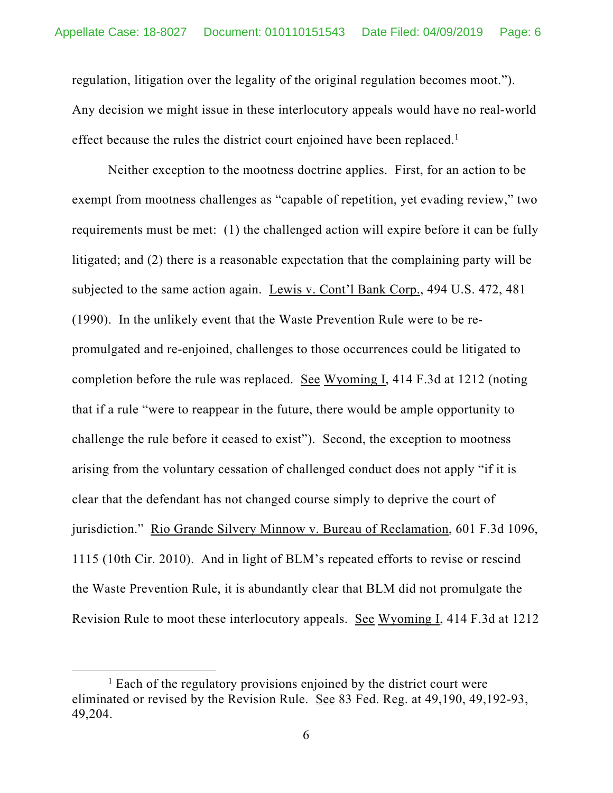regulation, litigation over the legality of the original regulation becomes moot."). Any decision we might issue in these interlocutory appeals would have no real-world effect because the rules the district court enjoined have been replaced.<sup>1</sup>

Neither exception to the mootness doctrine applies. First, for an action to be exempt from mootness challenges as "capable of repetition, yet evading review," two requirements must be met: (1) the challenged action will expire before it can be fully litigated; and (2) there is a reasonable expectation that the complaining party will be subjected to the same action again. Lewis v. Cont'l Bank Corp., 494 U.S. 472, 481 (1990). In the unlikely event that the Waste Prevention Rule were to be repromulgated and re-enjoined, challenges to those occurrences could be litigated to completion before the rule was replaced. See Wyoming I, 414 F.3d at 1212 (noting that if a rule "were to reappear in the future, there would be ample opportunity to challenge the rule before it ceased to exist"). Second, the exception to mootness arising from the voluntary cessation of challenged conduct does not apply "if it is clear that the defendant has not changed course simply to deprive the court of jurisdiction." Rio Grande Silvery Minnow v. Bureau of Reclamation, 601 F.3d 1096, 1115 (10th Cir. 2010). And in light of BLM's repeated efforts to revise or rescind the Waste Prevention Rule, it is abundantly clear that BLM did not promulgate the Revision Rule to moot these interlocutory appeals. See Wyoming I, 414 F.3d at 1212

<sup>&</sup>lt;u>1</u>  $<sup>1</sup>$  Each of the regulatory provisions enjoined by the district court were</sup> eliminated or revised by the Revision Rule. See 83 Fed. Reg. at 49,190, 49,192-93, 49,204.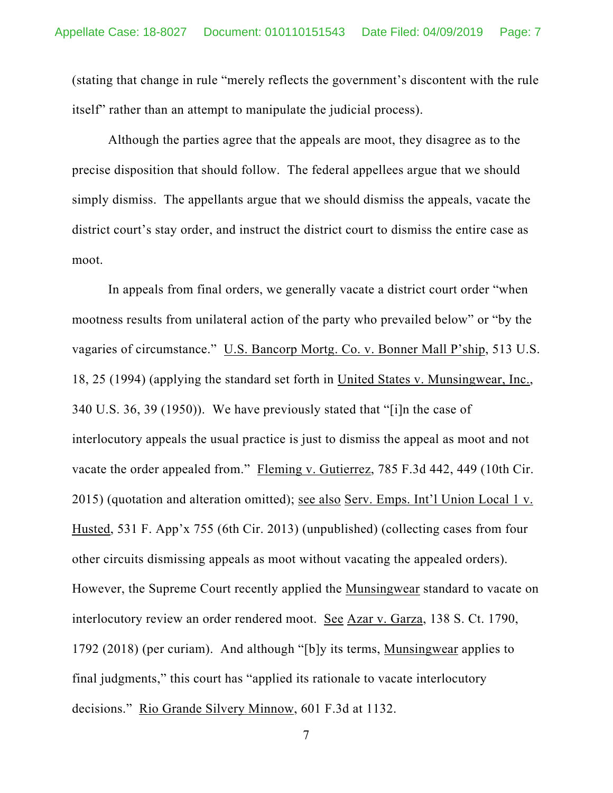(stating that change in rule "merely reflects the government's discontent with the rule itself" rather than an attempt to manipulate the judicial process).

 Although the parties agree that the appeals are moot, they disagree as to the precise disposition that should follow. The federal appellees argue that we should simply dismiss. The appellants argue that we should dismiss the appeals, vacate the district court's stay order, and instruct the district court to dismiss the entire case as moot.

In appeals from final orders, we generally vacate a district court order "when mootness results from unilateral action of the party who prevailed below" or "by the vagaries of circumstance." U.S. Bancorp Mortg. Co. v. Bonner Mall P'ship, 513 U.S. 18, 25 (1994) (applying the standard set forth in United States v. Munsingwear, Inc., 340 U.S. 36, 39 (1950)). We have previously stated that "[i]n the case of interlocutory appeals the usual practice is just to dismiss the appeal as moot and not vacate the order appealed from." Fleming v. Gutierrez, 785 F.3d 442, 449 (10th Cir. 2015) (quotation and alteration omitted); see also Serv. Emps. Int'l Union Local 1 v. Husted, 531 F. App'x 755 (6th Cir. 2013) (unpublished) (collecting cases from four other circuits dismissing appeals as moot without vacating the appealed orders). However, the Supreme Court recently applied the Munsingwear standard to vacate on interlocutory review an order rendered moot. See Azar v. Garza, 138 S. Ct. 1790, 1792 (2018) (per curiam). And although "[b]y its terms, Munsingwear applies to final judgments," this court has "applied its rationale to vacate interlocutory decisions." Rio Grande Silvery Minnow, 601 F.3d at 1132.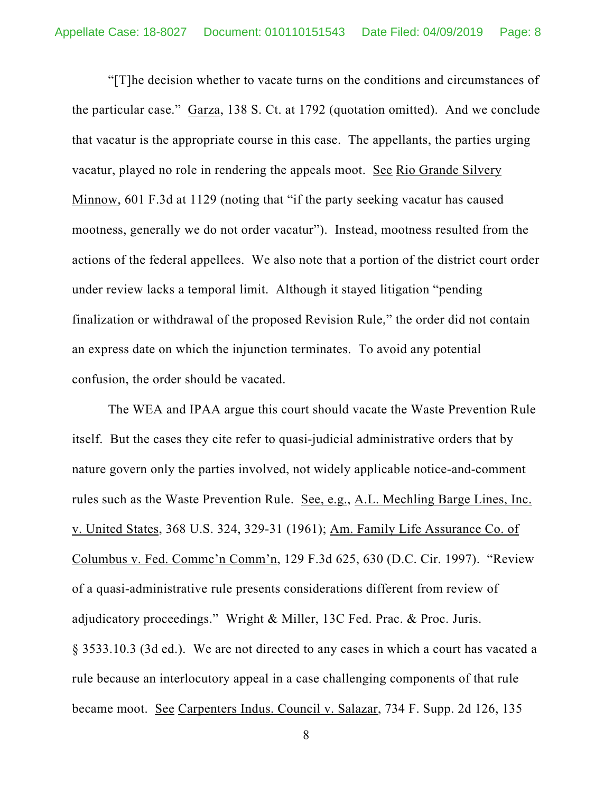"[T]he decision whether to vacate turns on the conditions and circumstances of the particular case." Garza, 138 S. Ct. at 1792 (quotation omitted). And we conclude that vacatur is the appropriate course in this case. The appellants, the parties urging vacatur, played no role in rendering the appeals moot. See Rio Grande Silvery Minnow, 601 F.3d at 1129 (noting that "if the party seeking vacatur has caused mootness, generally we do not order vacatur"). Instead, mootness resulted from the actions of the federal appellees. We also note that a portion of the district court order under review lacks a temporal limit. Although it stayed litigation "pending finalization or withdrawal of the proposed Revision Rule," the order did not contain an express date on which the injunction terminates. To avoid any potential confusion, the order should be vacated.

The WEA and IPAA argue this court should vacate the Waste Prevention Rule itself. But the cases they cite refer to quasi-judicial administrative orders that by nature govern only the parties involved, not widely applicable notice-and-comment rules such as the Waste Prevention Rule. See, e.g., A.L. Mechling Barge Lines, Inc. v. United States, 368 U.S. 324, 329-31 (1961); Am. Family Life Assurance Co. of Columbus v. Fed. Commc'n Comm'n, 129 F.3d 625, 630 (D.C. Cir. 1997). "Review of a quasi-administrative rule presents considerations different from review of adjudicatory proceedings." Wright & Miller, 13C Fed. Prac. & Proc. Juris. § 3533.10.3 (3d ed.). We are not directed to any cases in which a court has vacated a rule because an interlocutory appeal in a case challenging components of that rule became moot. See Carpenters Indus. Council v. Salazar, 734 F. Supp. 2d 126, 135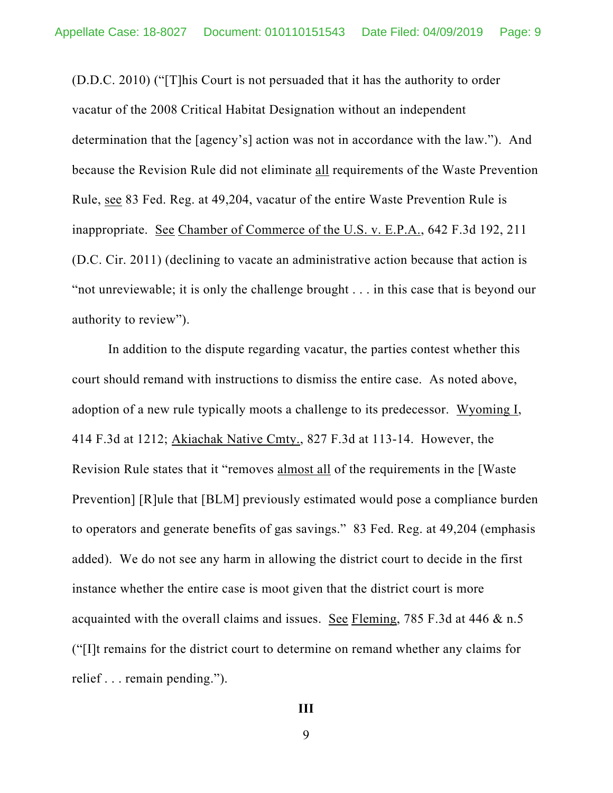(D.D.C. 2010) ("[T]his Court is not persuaded that it has the authority to order vacatur of the 2008 Critical Habitat Designation without an independent determination that the [agency's] action was not in accordance with the law."). And because the Revision Rule did not eliminate all requirements of the Waste Prevention Rule, see 83 Fed. Reg. at 49,204, vacatur of the entire Waste Prevention Rule is inappropriate. See Chamber of Commerce of the U.S. v. E.P.A., 642 F.3d 192, 211 (D.C. Cir. 2011) (declining to vacate an administrative action because that action is "not unreviewable; it is only the challenge brought . . . in this case that is beyond our authority to review").

In addition to the dispute regarding vacatur, the parties contest whether this court should remand with instructions to dismiss the entire case. As noted above, adoption of a new rule typically moots a challenge to its predecessor. Wyoming I, 414 F.3d at 1212; Akiachak Native Cmty., 827 F.3d at 113-14. However, the Revision Rule states that it "removes almost all of the requirements in the [Waste Prevention] [R]ule that [BLM] previously estimated would pose a compliance burden to operators and generate benefits of gas savings." 83 Fed. Reg. at 49,204 (emphasis added). We do not see any harm in allowing the district court to decide in the first instance whether the entire case is moot given that the district court is more acquainted with the overall claims and issues. See Fleming, 785 F.3d at 446 & n.5 ("[I]t remains for the district court to determine on remand whether any claims for relief . . . remain pending.").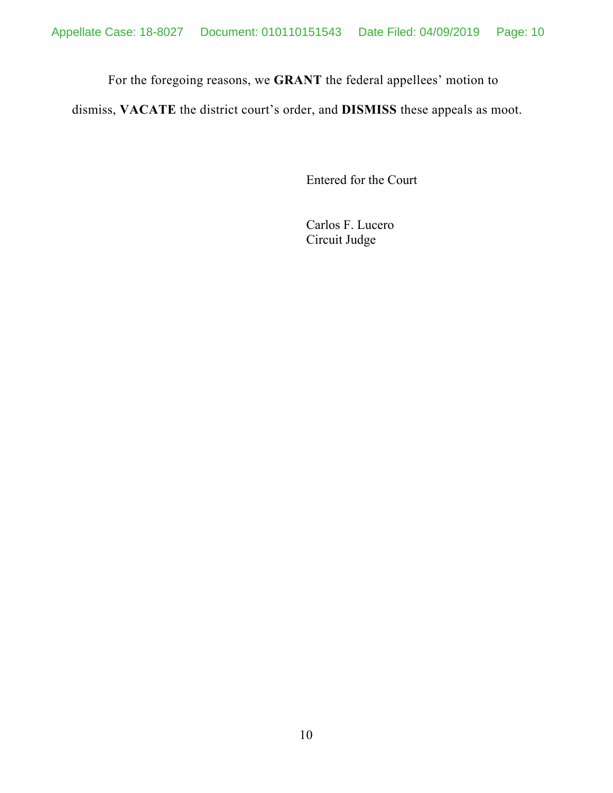For the foregoing reasons, we **GRANT** the federal appellees' motion to

dismiss, **VACATE** the district court's order, and **DISMISS** these appeals as moot.

Entered for the Court

Carlos F. Lucero Circuit Judge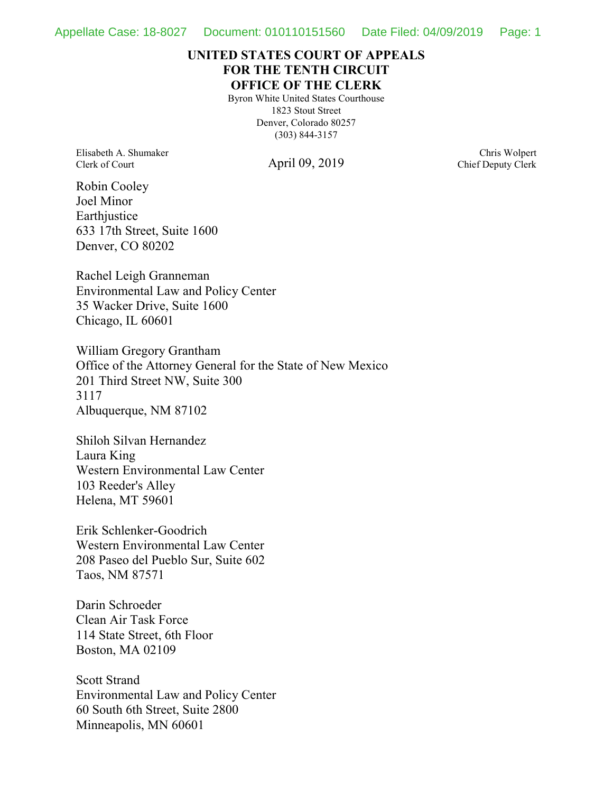### **UNITED STATES COURT OF APPEALS FOR THE TENTH CIRCUIT OFFICE OF THE CLERK**

Byron White United States Courthouse 1823 Stout Street Denver, Colorado 80257 (303) 844-3157

Elisabeth A. Shumaker Clerk of Court

April 09, 2019

Chris Wolpert Chief Deputy Clerk

Robin Cooley Joel Minor **Earthjustice** 633 17th Street, Suite 1600 Denver, CO 80202

Rachel Leigh Granneman Environmental Law and Policy Center 35 Wacker Drive, Suite 1600 Chicago, IL 60601

William Gregory Grantham Office of the Attorney General for the State of New Mexico 201 Third Street NW, Suite 300 3117 Albuquerque, NM 87102

Shiloh Silvan Hernandez Laura King Western Environmental Law Center 103 Reeder's Alley Helena, MT 59601

Erik Schlenker-Goodrich Western Environmental Law Center 208 Paseo del Pueblo Sur, Suite 602 Taos, NM 87571

Darin Schroeder Clean Air Task Force 114 State Street, 6th Floor Boston, MA 02109

Scott Strand Environmental Law and Policy Center 60 South 6th Street, Suite 2800 Minneapolis, MN 60601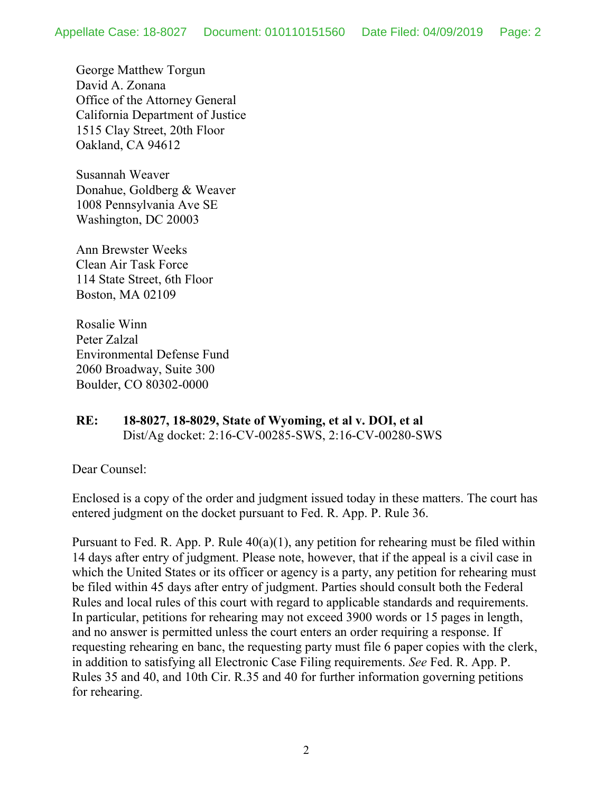George Matthew Torgun David A. Zonana Office of the Attorney General California Department of Justice 1515 Clay Street, 20th Floor Oakland, CA 94612

Susannah Weaver Donahue, Goldberg & Weaver 1008 Pennsylvania Ave SE Washington, DC 20003

Ann Brewster Weeks Clean Air Task Force 114 State Street, 6th Floor Boston, MA 02109

Rosalie Winn Peter Zalzal Environmental Defense Fund 2060 Broadway, Suite 300 Boulder, CO 80302-0000

### **RE: 18-8027, 18-8029, State of Wyoming, et al v. DOI, et al** Dist/Ag docket: 2:16-CV-00285-SWS, 2:16-CV-00280-SWS

Dear Counsel:

Enclosed is a copy of the order and judgment issued today in these matters. The court has entered judgment on the docket pursuant to Fed. R. App. P. Rule 36.

Pursuant to Fed. R. App. P. Rule  $40(a)(1)$ , any petition for rehearing must be filed within 14 days after entry of judgment. Please note, however, that if the appeal is a civil case in which the United States or its officer or agency is a party, any petition for rehearing must be filed within 45 days after entry of judgment. Parties should consult both the Federal Rules and local rules of this court with regard to applicable standards and requirements. In particular, petitions for rehearing may not exceed 3900 words or 15 pages in length, and no answer is permitted unless the court enters an order requiring a response. If requesting rehearing en banc, the requesting party must file 6 paper copies with the clerk, in addition to satisfying all Electronic Case Filing requirements. *See* Fed. R. App. P. Rules 35 and 40, and 10th Cir. R.35 and 40 for further information governing petitions for rehearing.